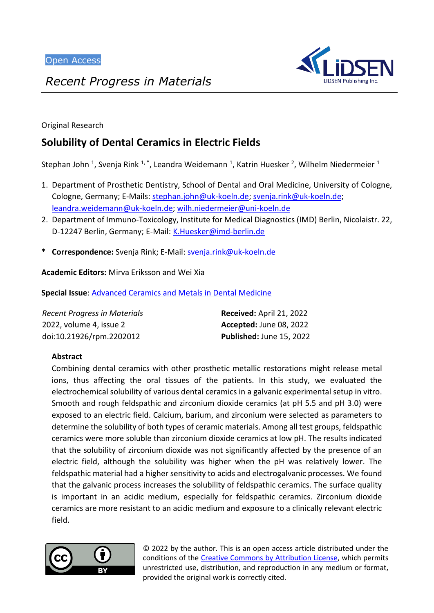

*Recent Progress in Materials*

Original Research

# **Solubility of Dental Ceramics in Electric Fields**

Stephan John <sup>1</sup>, Svenja Rink <sup>1, \*</sup>, Leandra Weidemann <sup>1</sup>, Katrin Huesker <sup>2</sup>, Wilhelm Niedermeier <sup>1</sup>

- 1. Department of Prosthetic Dentistry, School of Dental and Oral Medicine, University of Cologne, Cologne, Germany; E-Mails: [stephan.john@uk-koeln.de;](mailto:stephan.john@uk-koeln.de) [svenja.rink@uk-koeln.de;](mailto:svenja.rink@uk-koeln.de) [leandra.weidemann@uk-koeln.de;](mailto:leandra.weidemann@uk-koeln.de) [wilh.niedermeier@uni-koeln.de](mailto:wilh.niedermeier@uni-koeln.de)
- 2. Department of Immuno-Toxicology, Institute for Medical Diagnostics (IMD) Berlin, Nicolaistr. 22, D-12247 Berlin, Germany; E-Mail: [K.Huesker@imd-berlin.de](mailto:K.Huesker@imd-berlin.de)
- \* **Correspondence:** Svenja Rink; E-Mail: [svenja.rink@uk-koeln.de](mailto:svenja.rink@uk-koeln.de)

**Academic Editors:** Mirva Eriksson and Wei Xia

**Special Issue**: [Advanced Ceramics and Metals in Dental Medicine](https://www.lidsen.com/journals/rpm/rpm-special-issues/advanced-ceramics-metals-dental-medicine)

| Recent Progress in Materials | Received: April 21, 2022       |
|------------------------------|--------------------------------|
| 2022, volume 4, issue 2      | <b>Accepted: June 08, 2022</b> |
| doi:10.21926/rpm.2202012     | Published: June 15, 2022       |

# **Abstract**

Combining dental ceramics with other prosthetic metallic restorations might release metal ions, thus affecting the oral tissues of the patients. In this study, we evaluated the electrochemical solubility of various dental ceramics in a galvanic experimental setup in vitro. Smooth and rough feldspathic and zirconium dioxide ceramics (at pH 5.5 and pH 3.0) were exposed to an electric field. Calcium, barium, and zirconium were selected as parameters to determine the solubility of both types of ceramic materials. Among all test groups, feldspathic ceramics were more soluble than zirconium dioxide ceramics at low pH. The results indicated that the solubility of zirconium dioxide was not significantly affected by the presence of an electric field, although the solubility was higher when the pH was relatively lower. The feldspathic material had a higher sensitivity to acids and electrogalvanic processes. We found that the galvanic process increases the solubility of feldspathic ceramics. The surface quality is important in an acidic medium, especially for feldspathic ceramics. Zirconium dioxide ceramics are more resistant to an acidic medium and exposure to a clinically relevant electric field.



© 2022 by the author. This is an open access article distributed under the conditions of the [Creative Commons by Attribution License,](http://creativecommons.org/licenses/by/4.0/) which permits unrestricted use, distribution, and reproduction in any medium or format, provided the original work is correctly cited.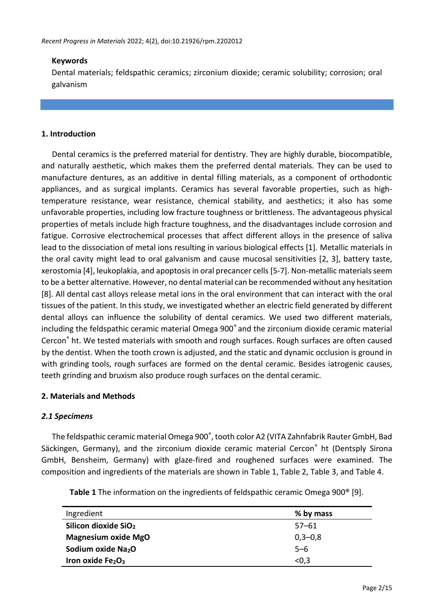### **Keywords**

Dental materials; feldspathic ceramics; zirconium dioxide; ceramic solubility; corrosion; oral galvanism

### **1. Introduction**

Dental ceramics is the preferred material for dentistry. They are highly durable, biocompatible, and naturally aesthetic, which makes them the preferred dental materials. They can be used to manufacture dentures, as an additive in dental filling materials, as a component of orthodontic appliances, and as surgical implants. Ceramics has several favorable properties, such as hightemperature resistance, wear resistance, chemical stability, and aesthetics; it also has some unfavorable properties, including low fracture toughness or brittleness. The advantageous physical properties of metals include high fracture toughness, and the disadvantages include corrosion and fatigue. Corrosive electrochemical processes that affect different alloys in the presence of saliva lead to the dissociation of metal ions resulting in various biological effects [1]. Metallic materials in the oral cavity might lead to oral galvanism and cause mucosal sensitivities [2, 3], battery taste, xerostomia [4], leukoplakia, and apoptosis in oral precancer cells [5-7]. Non-metallic materials seem to be a better alternative. However, no dental material can be recommended without any hesitation [8]. All dental cast alloys release metal ions in the oral environment that can interact with the oral tissues of the patient. In this study, we investigated whether an electric field generated by different dental alloys can influence the solubility of dental ceramics. We used two different materials, including the feldspathic ceramic material Omega 900® and the zirconium dioxide ceramic material Cercon® ht. We tested materials with smooth and rough surfaces. Rough surfaces are often caused by the dentist. When the tooth crown is adjusted, and the static and dynamic occlusion is ground in with grinding tools, rough surfaces are formed on the dental ceramic. Besides iatrogenic causes, teeth grinding and bruxism also produce rough surfaces on the dental ceramic.

#### **2. Materials and Methods**

#### *2.1 Specimens*

The feldspathic ceramic material Omega 900® , tooth color A2 (VITA Zahnfabrik Rauter GmbH, Bad Säckingen, Germany), and the zirconium dioxide ceramic material Cercon® ht (Dentsply Sirona GmbH, Bensheim, Germany) with glaze-fired and roughened surfaces were examined. The composition and ingredients of the materials are shown in Table 1, Table 2, Table 3, and Table 4.

| Ingredient                       | % by mass |
|----------------------------------|-----------|
| Silicon dioxide SiO <sub>2</sub> | $57 - 61$ |
| <b>Magnesium oxide MgO</b>       | $0,3-0,8$ |
| Sodium oxide Na <sub>2</sub> O   | $5 - 6$   |
| Iron oxide $Fe2O3$               | < 0.3     |

**Table 1** The information on the ingredients of feldspathic ceramic Omega 900® [9].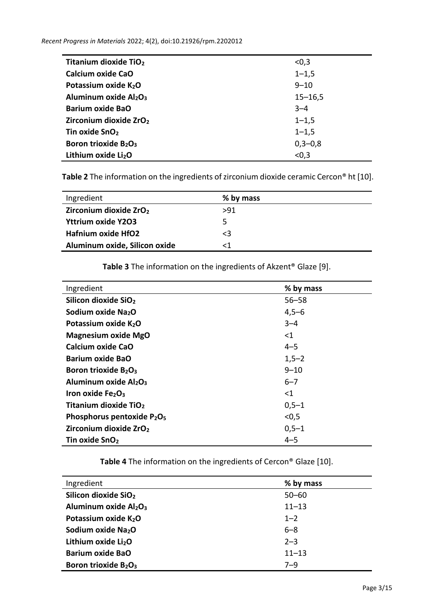| <b>Titanium dioxide TiO2</b>                 | < 0, 3      |
|----------------------------------------------|-------------|
| Calcium oxide CaO                            | $1 - 1,5$   |
| Potassium oxide K <sub>2</sub> O             | $9 - 10$    |
| Aluminum oxide Al2O3                         | $15 - 16,5$ |
| <b>Barium oxide BaO</b>                      | $3 - 4$     |
| Zirconium dioxide ZrO <sub>2</sub>           | $1 - 1,5$   |
| Tin oxide SnO <sub>2</sub>                   | $1 - 1,5$   |
| Boron trioxide B <sub>2</sub> O <sub>3</sub> | $0,3-0,8$   |
| Lithium oxide Li <sub>2</sub> O              | < 0, 3      |

**Table 2** The information on the ingredients of zirconium dioxide ceramic Cercon® ht [10].

| Ingredient                         | % by mass |
|------------------------------------|-----------|
| Zirconium dioxide ZrO <sub>2</sub> | >91       |
| <b>Yttrium oxide Y2O3</b>          | כ         |
| <b>Hafnium oxide HfO2</b>          | $\leq$ 3  |
| Aluminum oxide, Silicon oxide      |           |

**Table 3** The information on the ingredients of Akzent® Glaze [9].

| Ingredient                                         | % by mass |
|----------------------------------------------------|-----------|
| Silicon dioxide SiO <sub>2</sub>                   | $56 - 58$ |
| Sodium oxide Na <sub>2</sub> O                     | $4,5 - 6$ |
| Potassium oxide K <sub>2</sub> O                   | $3 - 4$   |
| <b>Magnesium oxide MgO</b>                         | ${<}1$    |
| Calcium oxide CaO                                  | $4 - 5$   |
| <b>Barium oxide BaO</b>                            | $1,5-2$   |
| Boron trioxide B <sub>2</sub> O <sub>3</sub>       | $9 - 10$  |
| Aluminum oxide Al2O <sub>3</sub>                   | $6 - 7$   |
| Iron oxide $Fe2O3$                                 | ${<}1$    |
| Titanium dioxide TiO <sub>2</sub>                  | $0,5-1$   |
| Phosphorus pentoxide P <sub>2</sub> O <sub>5</sub> | < 0.5     |
| Zirconium dioxide ZrO <sub>2</sub>                 | $0,5-1$   |
| Tin oxide SnO <sub>2</sub>                         | $4 - 5$   |

**Table 4** The information on the ingredients of Cercon® Glaze [10].

| Ingredient                                   | % by mass |
|----------------------------------------------|-----------|
| Silicon dioxide SiO <sub>2</sub>             | $50 - 60$ |
| Aluminum oxide Al2O3                         | $11 - 13$ |
| Potassium oxide K2O                          | $1 - 2$   |
| Sodium oxide Na <sub>2</sub> O               | $6 - 8$   |
| Lithium oxide Li <sub>2</sub> O              | $2 - 3$   |
| <b>Barium oxide BaO</b>                      | $11 - 13$ |
| Boron trioxide B <sub>2</sub> O <sub>3</sub> | $7 - 9$   |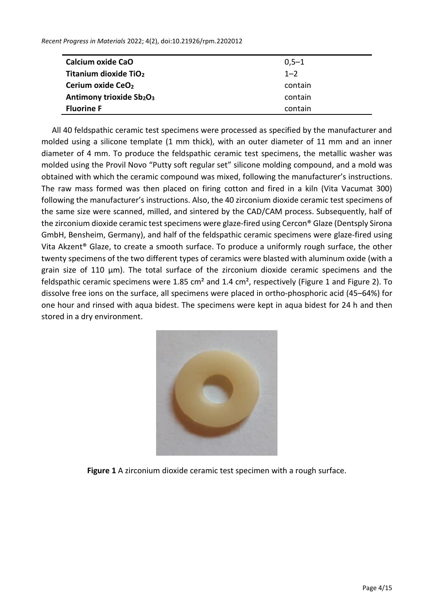| Calcium oxide CaO                 | $0,5-1$ |
|-----------------------------------|---------|
| Titanium dioxide TiO <sub>2</sub> | $1 - 2$ |
| Cerium oxide CeO <sub>2</sub>     | contain |
| Antimony trioxide Sb2O3           | contain |
| <b>Fluorine F</b>                 | contain |

All 40 feldspathic ceramic test specimens were processed as specified by the manufacturer and molded using a silicone template (1 mm thick), with an outer diameter of 11 mm and an inner diameter of 4 mm. To produce the feldspathic ceramic test specimens, the metallic washer was molded using the Provil Novo "Putty soft regular set" silicone molding compound, and a mold was obtained with which the ceramic compound was mixed, following the manufacturer's instructions. The raw mass formed was then placed on firing cotton and fired in a kiln (Vita Vacumat 300) following the manufacturer's instructions. Also, the 40 zirconium dioxide ceramic test specimens of the same size were scanned, milled, and sintered by the CAD/CAM process. Subsequently, half of the zirconium dioxide ceramic test specimens were glaze-fired using Cercon® Glaze (Dentsply Sirona GmbH, Bensheim, Germany), and half of the feldspathic ceramic specimens were glaze-fired using Vita Akzent® Glaze, to create a smooth surface. To produce a uniformly rough surface, the other twenty specimens of the two different types of ceramics were blasted with aluminum oxide (with a grain size of 110 µm). The total surface of the zirconium dioxide ceramic specimens and the feldspathic ceramic specimens were 1.85 cm² and 1.4 cm², respectively (Figure 1 and Figure 2). To dissolve free ions on the surface, all specimens were placed in ortho-phosphoric acid (45–64%) for one hour and rinsed with aqua bidest. The specimens were kept in aqua bidest for 24 h and then stored in a dry environment.



**Figure 1** A zirconium dioxide ceramic test specimen with a rough surface.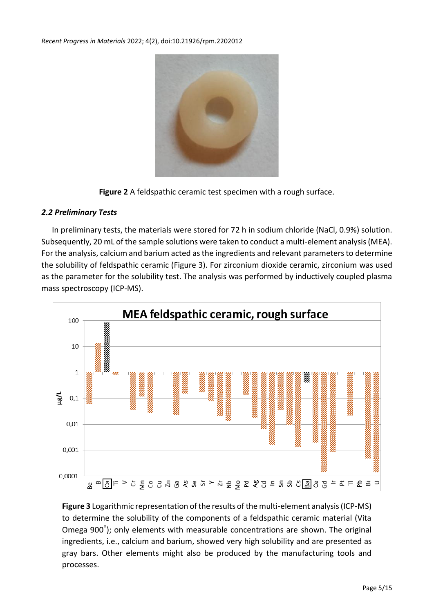

**Figure 2** A feldspathic ceramic test specimen with a rough surface.

# *2.2 Preliminary Tests*

In preliminary tests, the materials were stored for 72 h in sodium chloride (NaCl, 0.9%) solution. Subsequently, 20 mL of the sample solutions were taken to conduct a multi-element analysis (MEA). For the analysis, calcium and barium acted as the ingredients and relevant parameters to determine the solubility of feldspathic ceramic (Figure 3). For zirconium dioxide ceramic, zirconium was used as the parameter for the solubility test. The analysis was performed by inductively coupled plasma mass spectroscopy (ICP-MS).



**Figure 3** Logarithmic representation of the results of the multi-element analysis (ICP-MS) to determine the solubility of the components of a feldspathic ceramic material (Vita Omega 900® ); only elements with measurable concentrations are shown. The original ingredients, i.e., calcium and barium, showed very high solubility and are presented as gray bars. Other elements might also be produced by the manufacturing tools and processes.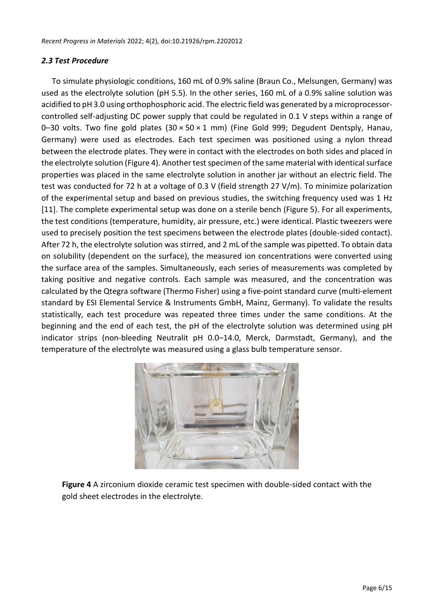### *2.3 Test Procedure*

To simulate physiologic conditions, 160 mL of 0.9% saline (Braun Co., Melsungen, Germany) was used as the electrolyte solution (pH 5.5). In the other series, 160 mL of a 0.9% saline solution was acidified to pH 3.0 using orthophosphoric acid. The electric field was generated by a microprocessorcontrolled self-adjusting DC power supply that could be regulated in 0.1 V steps within a range of 0-30 volts. Two fine gold plates  $(30 \times 50 \times 1 \text{ mm})$  (Fine Gold 999; Degudent Dentsply, Hanau, Germany) were used as electrodes. Each test specimen was positioned using a nylon thread between the electrode plates. They were in contact with the electrodes on both sides and placed in the electrolyte solution (Figure 4). Another test specimen of the same material with identical surface properties was placed in the same electrolyte solution in another jar without an electric field. The test was conducted for 72 h at a voltage of 0.3 V (field strength 27 V/m). To minimize polarization of the experimental setup and based on previous studies, the switching frequency used was 1 Hz [11]. The complete experimental setup was done on a sterile bench (Figure 5). For all experiments, the test conditions (temperature, humidity, air pressure, etc.) were identical. Plastic tweezers were used to precisely position the test specimens between the electrode plates (double-sided contact). After 72 h, the electrolyte solution was stirred, and 2 mL of the sample was pipetted. To obtain data on solubility (dependent on the surface), the measured ion concentrations were converted using the surface area of the samples. Simultaneously, each series of measurements was completed by taking positive and negative controls. Each sample was measured, and the concentration was calculated by the Qtegra software (Thermo Fisher) using a five-point standard curve (multi-element standard by ESI Elemental Service & Instruments GmbH, Mainz, Germany). To validate the results statistically, each test procedure was repeated three times under the same conditions. At the beginning and the end of each test, the pH of the electrolyte solution was determined using pH indicator strips (non-bleeding Neutralit pH 0.0–14.0, Merck, Darmstadt, Germany), and the temperature of the electrolyte was measured using a glass bulb temperature sensor.



**Figure 4** A zirconium dioxide ceramic test specimen with double-sided contact with the gold sheet electrodes in the electrolyte.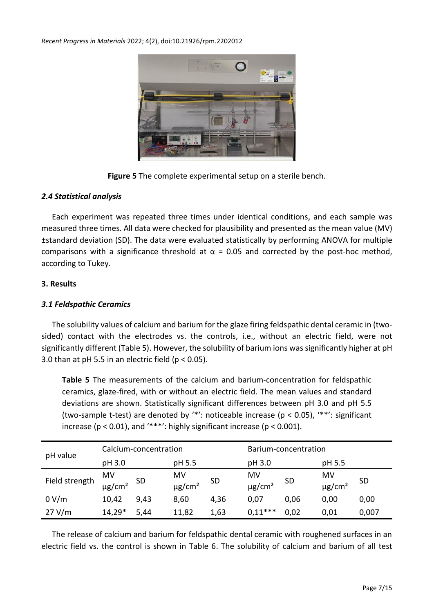

**Figure 5** The complete experimental setup on a sterile bench.

# *2.4 Statistical analysis*

Each experiment was repeated three times under identical conditions, and each sample was measured three times. All data were checked for plausibility and presented as the mean value (MV) ±standard deviation (SD). The data were evaluated statistically by performing ANOVA for multiple comparisons with a significance threshold at  $\alpha$  = 0.05 and corrected by the post-hoc method, according to Tukey.

# **3. Results**

# *3.1 Feldspathic Ceramics*

The solubility values of calcium and barium for the glaze firing feldspathic dental ceramic in (twosided) contact with the electrodes vs. the controls, i.e., without an electric field, were not significantly different (Table 5). However, the solubility of barium ions was significantly higher at pH 3.0 than at pH 5.5 in an electric field ( $p < 0.05$ ).

**Table 5** The measurements of the calcium and barium-concentration for feldspathic ceramics, glaze-fired, with or without an electric field. The mean values and standard deviations are shown. Statistically significant differences between pH 3.0 and pH 5.5 (two-sample t-test) are denoted by '\*': noticeable increase (p < 0.05), '\*\*': significant increase ( $p < 0.01$ ), and '\*\*\*': highly significant increase ( $p < 0.001$ ).

|                | Calcium-concentration         |           |                               |           | Barium-concentration          |           |                               |           |
|----------------|-------------------------------|-----------|-------------------------------|-----------|-------------------------------|-----------|-------------------------------|-----------|
| pH value       | pH 3.0                        |           | pH 5.5                        |           | pH 3.0                        |           | pH 5.5                        |           |
| Field strength | MV<br>$\mu$ g/cm <sup>2</sup> | <b>SD</b> | MV<br>$\mu$ g/cm <sup>2</sup> | <b>SD</b> | MV<br>$\mu$ g/cm <sup>2</sup> | <b>SD</b> | MV<br>$\mu$ g/cm <sup>2</sup> | <b>SD</b> |
| 0 V/m          | 10,42                         | 9,43      | 8,60                          | 4,36      | 0,07                          | 0,06      | 0,00                          | 0,00      |
| 27 V/m         | 14,29*                        | 5,44      | 11,82                         | 1,63      | $0,11***$                     | 0,02      | 0,01                          | 0,007     |

The release of calcium and barium for feldspathic dental ceramic with roughened surfaces in an electric field vs. the control is shown in Table 6. The solubility of calcium and barium of all test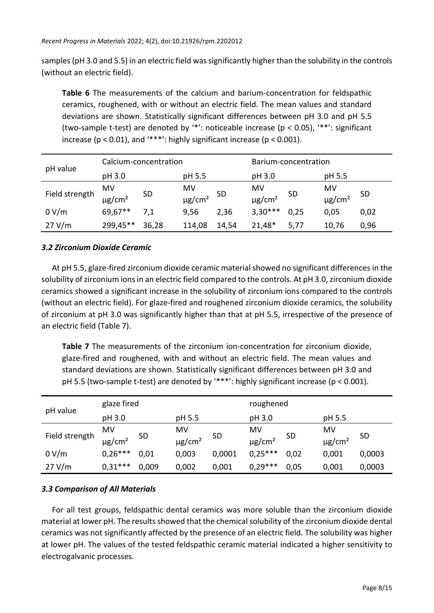samples (pH 3.0 and 5.5) in an electric field was significantly higher than the solubility in the controls (without an electric field).

**Table 6** The measurements of the calcium and barium-concentration for feldspathic ceramics, roughened, with or without an electric field. The mean values and standard deviations are shown. Statistically significant differences between pH 3.0 and pH 5.5 (two-sample t-test) are denoted by '\*': noticeable increase (p < 0.05), '\*\*': significant increase ( $p < 0.01$ ), and '\*\*\*': highly significant increase ( $p < 0.001$ ).

| pH value       | Calcium-concentration         |           |                               |           | Barium-concentration          |           |                               |      |
|----------------|-------------------------------|-----------|-------------------------------|-----------|-------------------------------|-----------|-------------------------------|------|
|                | pH 3.0                        |           | pH 5.5                        |           | pH 3.0                        |           | pH 5.5                        |      |
| Field strength | MV<br>$\mu$ g/cm <sup>2</sup> | <b>SD</b> | MV<br>$\mu$ g/cm <sup>2</sup> | <b>SD</b> | MV<br>$\mu$ g/cm <sup>2</sup> | <b>SD</b> | MV<br>$\mu$ g/cm <sup>2</sup> | -SD  |
| 0 V/m          | 69,67**                       | 7,1       | 9,56                          | 2,36      | $3,30***$                     | 0,25      | 0,05                          | 0,02 |
| 27 V/m         | 299,45**                      | 36,28     | 114,08                        | 14,54     | 21,48*                        | 5,77      | 10,76                         | 0,96 |

# *3.2 Zirconium Dioxide Ceramic*

At pH 5.5, glaze-fired zirconium dioxide ceramic material showed no significant differences in the solubility of zirconium ions in an electric field compared to the controls. At pH 3.0, zirconium dioxide ceramics showed a significant increase in the solubility of zirconium ions compared to the controls (without an electric field). For glaze-fired and roughened zirconium dioxide ceramics, the solubility of zirconium at pH 3.0 was significantly higher than that at pH 5.5, irrespective of the presence of an electric field (Table 7).

**Table 7** The measurements of the zirconium ion-concentration for zirconium dioxide, glaze-fired and roughened, with and without an electric field. The mean values and standard deviations are shown. Statistically significant differences between pH 3.0 and pH 5.5 (two-sample t-test) are denoted by '\*\*\*': highly significant increase (p < 0.001).

|                | glaze fired             |       |                         |           | roughened               |           |                         |           |
|----------------|-------------------------|-------|-------------------------|-----------|-------------------------|-----------|-------------------------|-----------|
| pH value       | pH 3.0                  |       | pH 5.5                  |           | pH 3.0                  |           | pH 5.5                  |           |
|                | MV                      |       | MV                      |           | MV                      |           | MV                      |           |
| Field strength | $\mu$ g/cm <sup>2</sup> | SD    | $\mu$ g/cm <sup>2</sup> | <b>SD</b> | $\mu$ g/cm <sup>2</sup> | <b>SD</b> | $\mu$ g/cm <sup>2</sup> | <b>SD</b> |
| 0 V/m          | $0.26***$               | 0,01  | 0,003                   | 0,0001    | $0.25***$               | 0,02      | 0,001                   | 0,0003    |
| 27 V/m         | $0.31***$               | 0,009 | 0,002                   | 0,001     | $0,29***$               | 0,05      | 0,001                   | 0,0003    |

# *3.3 Comparison of All Materials*

For all test groups, feldspathic dental ceramics was more soluble than the zirconium dioxide material at lower pH. The results showed that the chemical solubility of the zirconium dioxide dental ceramics was not significantly affected by the presence of an electric field. The solubility was higher at lower pH. The values of the tested feldspathic ceramic material indicated a higher sensitivity to electrogalvanic processes.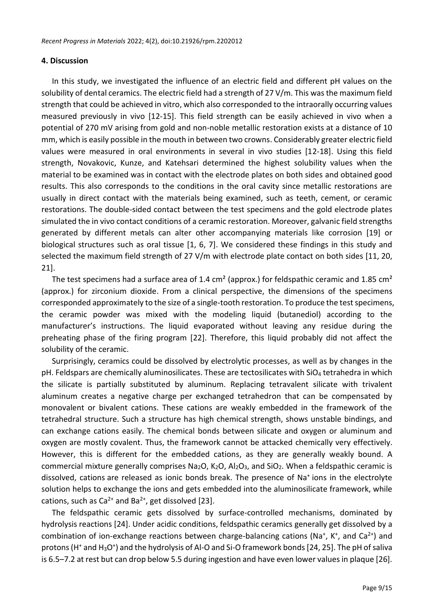#### **4. Discussion**

In this study, we investigated the influence of an electric field and different pH values on the solubility of dental ceramics. The electric field had a strength of 27 V/m. This was the maximum field strength that could be achieved in vitro, which also corresponded to the intraorally occurring values measured previously in vivo [12-15]. This field strength can be easily achieved in vivo when a potential of 270 mV arising from gold and non-noble metallic restoration exists at a distance of 10 mm, which is easily possible in the mouth in between two crowns. Considerably greater electric field values were measured in oral environments in several in vivo studies [12-18]. Using this field strength, Novakovic, Kunze, and Katehsari determined the highest solubility values when the material to be examined was in contact with the electrode plates on both sides and obtained good results. This also corresponds to the conditions in the oral cavity since metallic restorations are usually in direct contact with the materials being examined, such as teeth, cement, or ceramic restorations. The double-sided contact between the test specimens and the gold electrode plates simulated the in vivo contact conditions of a ceramic restoration. Moreover, galvanic field strengths generated by different metals can alter other accompanying materials like corrosion [19] or biological structures such as oral tissue [1, 6, 7]. We considered these findings in this study and selected the maximum field strength of 27 V/m with electrode plate contact on both sides [11, 20, 21].

The test specimens had a surface area of 1.4 cm<sup>2</sup> (approx.) for feldspathic ceramic and 1.85 cm<sup>2</sup> (approx.) for zirconium dioxide. From a clinical perspective, the dimensions of the specimens corresponded approximately to the size of a single-tooth restoration. To produce the test specimens, the ceramic powder was mixed with the modeling liquid (butanediol) according to the manufacturer's instructions. The liquid evaporated without leaving any residue during the preheating phase of the firing program [22]. Therefore, this liquid probably did not affect the solubility of the ceramic.

Surprisingly, ceramics could be dissolved by electrolytic processes, as well as by changes in the pH. Feldspars are chemically aluminosilicates. These are tectosilicates with SiO<sup>4</sup> tetrahedra in which the silicate is partially substituted by aluminum. Replacing tetravalent silicate with trivalent aluminum creates a negative charge per exchanged tetrahedron that can be compensated by monovalent or bivalent cations. These cations are weakly embedded in the framework of the tetrahedral structure. Such a structure has high chemical strength, shows unstable bindings, and can exchange cations easily. The chemical bonds between silicate and oxygen or aluminum and oxygen are mostly covalent. Thus, the framework cannot be attacked chemically very effectively. However, this is different for the embedded cations, as they are generally weakly bound. A commercial mixture generally comprises Na<sub>2</sub>O, K<sub>2</sub>O, Al<sub>2</sub>O<sub>3</sub>, and SiO<sub>2</sub>. When a feldspathic ceramic is dissolved, cations are released as ionic bonds break. The presence of Na<sup>+</sup> ions in the electrolyte solution helps to exchange the ions and gets embedded into the aluminosilicate framework, while cations, such as  $Ca^{2+}$  and Ba<sup>2+</sup>, get dissolved [23].

The feldspathic ceramic gets dissolved by surface-controlled mechanisms, dominated by hydrolysis reactions [24]. Under acidic conditions, feldspathic ceramics generally get dissolved by a combination of ion-exchange reactions between charge-balancing cations (Na<sup>+</sup>, K<sup>+</sup>, and Ca<sup>2+</sup>) and protons (H<sup>+</sup> and H<sub>3</sub>O<sup>+</sup>) and the hydrolysis of Al-O and Si-O framework bonds [24, 25]. The pH of saliva is 6.5–7.2 at rest but can drop below 5.5 during ingestion and have even lower values in plaque [26].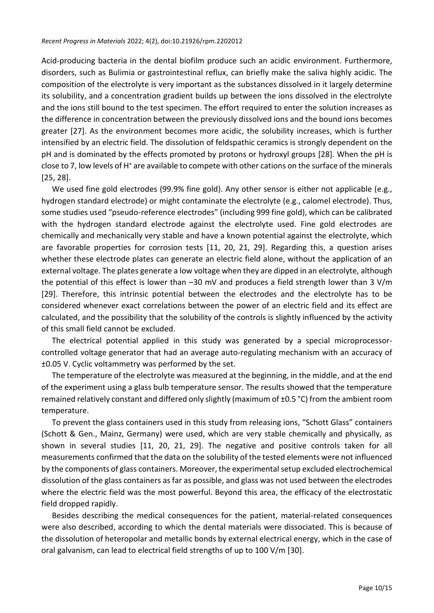Acid-producing bacteria in the dental biofilm produce such an acidic environment. Furthermore, disorders, such as Bulimia or gastrointestinal reflux, can briefly make the saliva highly acidic. The composition of the electrolyte is very important as the substances dissolved in it largely determine its solubility, and a concentration gradient builds up between the ions dissolved in the electrolyte and the ions still bound to the test specimen. The effort required to enter the solution increases as the difference in concentration between the previously dissolved ions and the bound ions becomes greater [27]. As the environment becomes more acidic, the solubility increases, which is further intensified by an electric field. The dissolution of feldspathic ceramics is strongly dependent on the pH and is dominated by the effects promoted by protons or hydroxyl groups [28]. When the pH is close to 7, low levels of H<sup>+</sup> are available to compete with other cations on the surface of the minerals [25, 28].

We used fine gold electrodes (99.9% fine gold). Any other sensor is either not applicable (e.g., hydrogen standard electrode) or might contaminate the electrolyte (e.g., calomel electrode). Thus, some studies used "pseudo-reference electrodes" (including 999 fine gold), which can be calibrated with the hydrogen standard electrode against the electrolyte used. Fine gold electrodes are chemically and mechanically very stable and have a known potential against the electrolyte, which are favorable properties for corrosion tests [11, 20, 21, 29]. Regarding this, a question arises whether these electrode plates can generate an electric field alone, without the application of an external voltage. The plates generate a low voltage when they are dipped in an electrolyte, although the potential of this effect is lower than –30 mV and produces a field strength lower than 3 V/m [29]. Therefore, this intrinsic potential between the electrodes and the electrolyte has to be considered whenever exact correlations between the power of an electric field and its effect are calculated, and the possibility that the solubility of the controls is slightly influenced by the activity of this small field cannot be excluded.

The electrical potential applied in this study was generated by a special microprocessorcontrolled voltage generator that had an average auto-regulating mechanism with an accuracy of ±0.05 V. Cyclic voltammetry was performed by the set.

The temperature of the electrolyte was measured at the beginning, in the middle, and at the end of the experiment using a glass bulb temperature sensor. The results showed that the temperature remained relatively constant and differed only slightly (maximum of ±0.5 °C) from the ambient room temperature.

To prevent the glass containers used in this study from releasing ions, "Schott Glass" containers (Schott & Gen., Mainz, Germany) were used, which are very stable chemically and physically, as shown in several studies [11, 20, 21, 29]. The negative and positive controls taken for all measurements confirmed that the data on the solubility of the tested elements were not influenced by the components of glass containers. Moreover, the experimental setup excluded electrochemical dissolution of the glass containers as far as possible, and glass was not used between the electrodes where the electric field was the most powerful. Beyond this area, the efficacy of the electrostatic field dropped rapidly.

Besides describing the medical consequences for the patient, material-related consequences were also described, according to which the dental materials were dissociated. This is because of the dissolution of heteropolar and metallic bonds by external electrical energy, which in the case of oral galvanism, can lead to electrical field strengths of up to 100 V/m [30].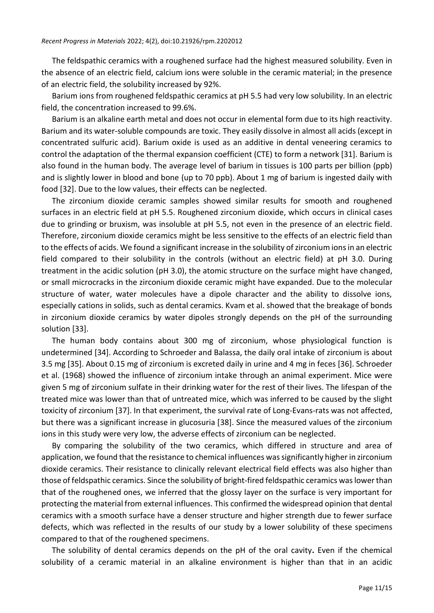The feldspathic ceramics with a roughened surface had the highest measured solubility. Even in the absence of an electric field, calcium ions were soluble in the ceramic material; in the presence of an electric field, the solubility increased by 92%.

Barium ions from roughened feldspathic ceramics at pH 5.5 had very low solubility. In an electric field, the concentration increased to 99.6%.

Barium is an alkaline earth metal and does not occur in elemental form due to its high reactivity. Barium and its water-soluble compounds are toxic. They easily dissolve in almost all acids (except in concentrated sulfuric acid). Barium oxide is used as an additive in dental veneering ceramics to control the adaptation of the thermal expansion coefficient (CTE) to form a network [31]. Barium is also found in the human body. The average level of barium in tissues is 100 parts per billion (ppb) and is slightly lower in blood and bone (up to 70 ppb). About 1 mg of barium is ingested daily with food [32]. Due to the low values, their effects can be neglected.

The zirconium dioxide ceramic samples showed similar results for smooth and roughened surfaces in an electric field at pH 5.5. Roughened zirconium dioxide, which occurs in clinical cases due to grinding or bruxism, was insoluble at pH 5.5, not even in the presence of an electric field. Therefore, zirconium dioxide ceramics might be less sensitive to the effects of an electric field than to the effects of acids. We found a significant increase in the solubility of zirconium ionsin an electric field compared to their solubility in the controls (without an electric field) at pH 3.0. During treatment in the acidic solution (pH 3.0), the atomic structure on the surface might have changed, or small microcracks in the zirconium dioxide ceramic might have expanded. Due to the molecular structure of water, water molecules have a dipole character and the ability to dissolve ions, especially cations in solids, such as dental ceramics. Kvam et al. showed that the breakage of bonds in zirconium dioxide ceramics by water dipoles strongly depends on the pH of the surrounding solution [33].

The human body contains about 300 mg of zirconium, whose physiological function is undetermined [34]. According to Schroeder and Balassa, the daily oral intake of zirconium is about 3.5 mg [35]. About 0.15 mg of zirconium is excreted daily in urine and 4 mg in feces [36]. Schroeder et al. (1968) showed the influence of zirconium intake through an animal experiment. Mice were given 5 mg of zirconium sulfate in their drinking water for the rest of their lives. The lifespan of the treated mice was lower than that of untreated mice, which was inferred to be caused by the slight toxicity of zirconium [37]. In that experiment, the survival rate of Long-Evans-rats was not affected, but there was a significant increase in glucosuria [38]. Since the measured values of the zirconium ions in this study were very low, the adverse effects of zirconium can be neglected.

By comparing the solubility of the two ceramics, which differed in structure and area of application, we found that the resistance to chemical influences was significantly higher in zirconium dioxide ceramics. Their resistance to clinically relevant electrical field effects was also higher than those of feldspathic ceramics. Since the solubility of bright-fired feldspathic ceramics was lower than that of the roughened ones, we inferred that the glossy layer on the surface is very important for protecting the material from external influences. This confirmed the widespread opinion that dental ceramics with a smooth surface have a denser structure and higher strength due to fewer surface defects, which was reflected in the results of our study by a lower solubility of these specimens compared to that of the roughened specimens.

The solubility of dental ceramics depends on the pH of the oral cavity**.** Even if the chemical solubility of a ceramic material in an alkaline environment is higher than that in an acidic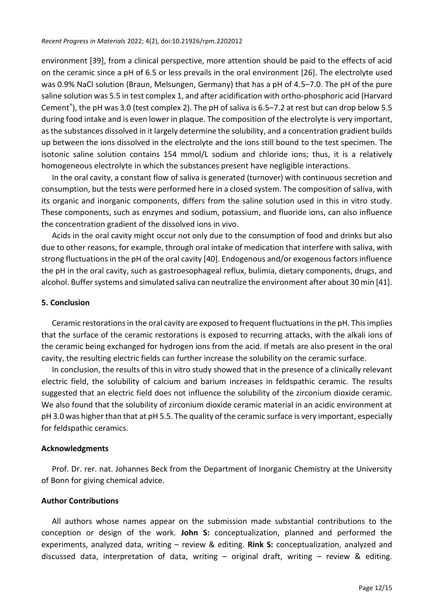environment [39], from a clinical perspective, more attention should be paid to the effects of acid on the ceramic since a pH of 6.5 or less prevails in the oral environment [26]. The electrolyte used was 0.9% NaCl solution (Braun, Melsungen, Germany) that has a pH of 4.5–7.0. The pH of the pure saline solution was 5.5 in test complex 1, and after acidification with ortho-phosphoric acid (Harvard Cement® ), the pH was 3.0 (test complex 2). The pH of saliva is 6.5–7.2 at rest but can drop below 5.5 during food intake and is even lower in plaque. The composition of the electrolyte is very important, as the substances dissolved in it largely determine the solubility, and a concentration gradient builds up between the ions dissolved in the electrolyte and the ions still bound to the test specimen. The isotonic saline solution contains 154 mmol/L sodium and chloride ions; thus, it is a relatively homogeneous electrolyte in which the substances present have negligible interactions.

In the oral cavity, a constant flow of saliva is generated (turnover) with continuous secretion and consumption, but the tests were performed here in a closed system. The composition of saliva, with its organic and inorganic components, differs from the saline solution used in this in vitro study. These components, such as enzymes and sodium, potassium, and fluoride ions, can also influence the concentration gradient of the dissolved ions in vivo.

Acids in the oral cavity might occur not only due to the consumption of food and drinks but also due to other reasons, for example, through oral intake of medication that interfere with saliva, with strong fluctuations in the pH of the oral cavity [40]. Endogenous and/or exogenous factors influence the pH in the oral cavity, such as gastroesophageal reflux, bulimia, dietary components, drugs, and alcohol. Buffer systems and simulated saliva can neutralize the environment after about 30 min [41].

#### **5. Conclusion**

Ceramic restorations in the oral cavity are exposed to frequent fluctuations in the pH. This implies that the surface of the ceramic restorations is exposed to recurring attacks, with the alkali ions of the ceramic being exchanged for hydrogen ions from the acid. If metals are also present in the oral cavity, the resulting electric fields can further increase the solubility on the ceramic surface.

In conclusion, the results of this in vitro study showed that in the presence of a clinically relevant electric field, the solubility of calcium and barium increases in feldspathic ceramic. The results suggested that an electric field does not influence the solubility of the zirconium dioxide ceramic. We also found that the solubility of zirconium dioxide ceramic material in an acidic environment at pH 3.0 was higher than that at pH 5.5. The quality of the ceramic surface is very important, especially for feldspathic ceramics.

#### **Acknowledgments**

Prof. Dr. rer. nat. Johannes Beck from the Department of Inorganic Chemistry at the University of Bonn for giving chemical advice.

#### **Author Contributions**

All authors whose names appear on the submission made substantial contributions to the conception or design of the work. **John S:** conceptualization, planned and performed the experiments, analyzed data, writing – review & editing. **Rink S:** conceptualization, analyzed and discussed data, interpretation of data, writing – original draft, writing – review & editing.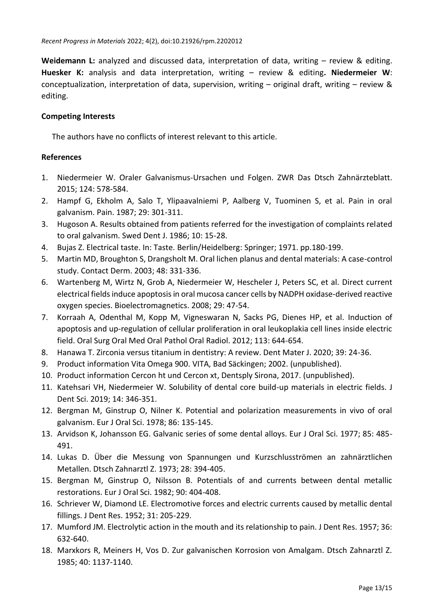**Weidemann L:** analyzed and discussed data, interpretation of data, writing – review & editing. **Huesker K:** analysis and data interpretation, writing – review & editing**. Niedermeier W**: conceptualization, interpretation of data, supervision, writing – original draft, writing – review & editing.

## **Competing Interests**

The authors have no conflicts of interest relevant to this article.

## **References**

- 1. Niedermeier W. Oraler Galvanismus-Ursachen und Folgen. ZWR Das Dtsch Zahnärzteblatt. 2015; 124: 578-584.
- 2. Hampf G, Ekholm A, Salo T, Ylipaavalniemi P, Aalberg V, Tuominen S, et al. Pain in oral galvanism. Pain. 1987; 29: 301-311.
- 3. Hugoson A. Results obtained from patients referred for the investigation of complaints related to oral galvanism. Swed Dent J. 1986; 10: 15-28.
- 4. Bujas Z. Electrical taste. In: Taste. Berlin/Heidelberg: Springer; 1971. pp.180-199.
- 5. Martin MD, Broughton S, Drangsholt M. Oral lichen planus and dental materials: A case-control study. Contact Derm. 2003; 48: 331-336.
- 6. Wartenberg M, Wirtz N, Grob A, Niedermeier W, Hescheler J, Peters SC, et al. Direct current electrical fields induce apoptosis in oral mucosa cancer cells by NADPH oxidase-derived reactive oxygen species. Bioelectromagnetics. 2008; 29: 47-54.
- 7. Korraah A, Odenthal M, Kopp M, Vigneswaran N, Sacks PG, Dienes HP, et al. Induction of apoptosis and up-regulation of cellular proliferation in oral leukoplakia cell lines inside electric field. Oral Surg Oral Med Oral Pathol Oral Radiol. 2012; 113: 644-654.
- 8. Hanawa T. Zirconia versus titanium in dentistry: A review. Dent Mater J. 2020; 39: 24-36.
- 9. Product information Vita Omega 900. VITA, Bad Säckingen; 2002. (unpublished).
- 10. Product information Cercon ht und Cercon xt, Dentsply Sirona, 2017. (unpublished).
- 11. Katehsari VH, Niedermeier W. Solubility of dental core build-up materials in electric fields. J Dent Sci. 2019; 14: 346-351.
- 12. Bergman M, Ginstrup O, Nilner K. Potential and polarization measurements in vivo of oral galvanism. Eur J Oral Sci. 1978; 86: 135-145.
- 13. Arvidson K, Johansson EG. Galvanic series of some dental alloys. Eur J Oral Sci. 1977; 85: 485- 491.
- 14. Lukas D. Über die Messung von Spannungen und Kurzschlusströmen an zahnärztlichen Metallen. Dtsch Zahnarztl Z. 1973; 28: 394-405.
- 15. Bergman M, Ginstrup O, Nilsson B. Potentials of and currents between dental metallic restorations. Eur J Oral Sci. 1982; 90: 404-408.
- 16. Schriever W, Diamond LE. Electromotive forces and electric currents caused by metallic dental fillings. J Dent Res. 1952; 31: 205-229.
- 17. Mumford JM. Electrolytic action in the mouth and its relationship to pain. J Dent Res. 1957; 36: 632-640.
- 18. Marxkors R, Meiners H, Vos D. Zur galvanischen Korrosion von Amalgam. Dtsch Zahnarztl Z. 1985; 40: 1137-1140.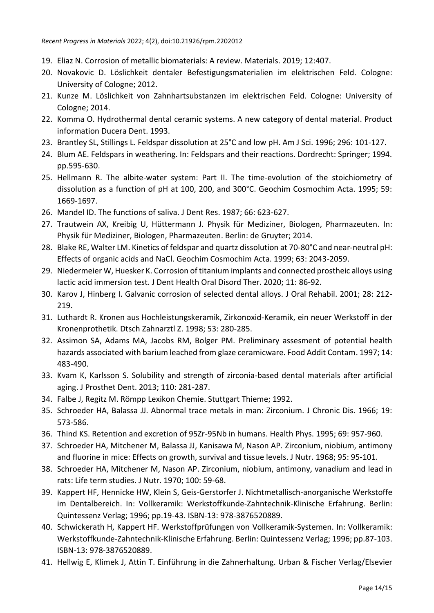- 19. Eliaz N. Corrosion of metallic biomaterials: A review. Materials. 2019; 12:407.
- 20. Novakovic D. Löslichkeit dentaler Befestigungsmaterialien im elektrischen Feld. Cologne: University of Cologne; 2012.
- 21. Kunze M. Löslichkeit von Zahnhartsubstanzen im elektrischen Feld. Cologne: University of Cologne; 2014.
- 22. Komma O. Hydrothermal dental ceramic systems. A new category of dental material. Product information Ducera Dent. 1993.
- 23. Brantley SL, Stillings L. Feldspar dissolution at 25°C and low pH. Am J Sci. 1996; 296: 101-127.
- 24. Blum AE. Feldspars in weathering. In: Feldspars and their reactions. Dordrecht: Springer; 1994. pp.595-630.
- 25. Hellmann R. The albite-water system: Part II. The time-evolution of the stoichiometry of dissolution as a function of pH at 100, 200, and 300°C. Geochim Cosmochim Acta. 1995; 59: 1669-1697.
- 26. Mandel ID. The functions of saliva. J Dent Res. 1987; 66: 623-627.
- 27. Trautwein AX, Kreibig U, Hüttermann J. Physik für Mediziner, Biologen, Pharmazeuten. In: Physik für Mediziner, Biologen, Pharmazeuten. Berlin: de Gruyter; 2014.
- 28. Blake RE, Walter LM. Kinetics of feldspar and quartz dissolution at 70-80°C and near-neutral pH: Effects of organic acids and NaCl. Geochim Cosmochim Acta. 1999; 63: 2043-2059.
- 29. Niedermeier W, Huesker K. Corrosion of titanium implants and connected prostheic alloys using lactic acid immersion test. J Dent Health Oral Disord Ther. 2020; 11: 86-92.
- 30. Karov J, Hinberg I. Galvanic corrosion of selected dental alloys. J Oral Rehabil. 2001; 28: 212- 219.
- 31. Luthardt R. Kronen aus Hochleistungskeramik, Zirkonoxid-Keramik, ein neuer Werkstoff in der Kronenprothetik. Dtsch Zahnarztl Z. 1998; 53: 280-285.
- 32. Assimon SA, Adams MA, Jacobs RM, Bolger PM. Preliminary assesment of potential health hazards associated with barium leached from glaze ceramicware. Food Addit Contam. 1997; 14: 483-490.
- 33. Kvam K, Karlsson S. Solubility and strength of zirconia-based dental materials after artificial aging. J Prosthet Dent. 2013; 110: 281-287.
- 34. Falbe J, Regitz M. Römpp Lexikon Chemie. Stuttgart Thieme; 1992.
- 35. Schroeder HA, Balassa JJ. Abnormal trace metals in man: Zirconium. J Chronic Dis. 1966; 19: 573-586.
- 36. Thind KS. Retention and excretion of 95Zr-95Nb in humans. Health Phys. 1995; 69: 957-960.
- 37. Schroeder HA, Mitchener M, Balassa JJ, Kanisawa M, Nason AP. Zirconium, niobium, antimony and fluorine in mice: Effects on growth, survival and tissue levels. J Nutr. 1968; 95: 95-101.
- 38. Schroeder HA, Mitchener M, Nason AP. Zirconium, niobium, antimony, vanadium and lead in rats: Life term studies. J Nutr. 1970; 100: 59-68.
- 39. Kappert HF, Hennicke HW, Klein S, Geis-Gerstorfer J. Nichtmetallisch-anorganische Werkstoffe im Dentalbereich. In: Vollkeramik: Werkstoffkunde-Zahntechnik-Klinische Erfahrung. Berlin: Quintessenz Verlag; 1996; pp.19-43. ISBN-13: 978-3876520889.
- 40. Schwickerath H, Kappert HF. Werkstoffprüfungen von Vollkeramik-Systemen. In: Vollkeramik: Werkstoffkunde-Zahntechnik-Klinische Erfahrung. Berlin: Quintessenz Verlag; 1996; pp.87-103. ISBN-13: 978-3876520889.
- 41. Hellwig E, Klimek J, Attin T. Einführung in die Zahnerhaltung. Urban & Fischer Verlag/Elsevier